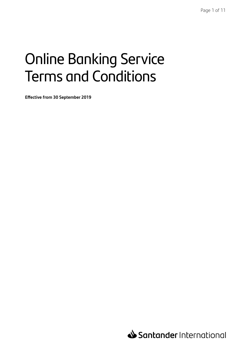# Online Banking Service Terms and Conditions

**Effective from 30 September 2019**

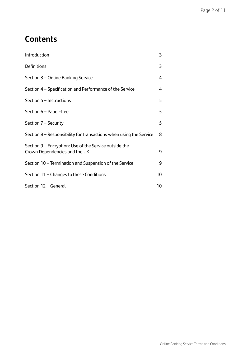# **Contents**

| Introduction                                                                            | 3  |
|-----------------------------------------------------------------------------------------|----|
| Definitions                                                                             | 3  |
| Section 3 - Online Banking Service                                                      | 4  |
| Section 4 – Specification and Performance of the Service                                | 4  |
| Section 5 - Instructions                                                                | 5  |
| Section 6 - Paper-free                                                                  | 5  |
| Section 7 - Security                                                                    | 5  |
| Section 8 – Responsibility for Transactions when using the Service                      | 8  |
| Section 9 - Encryption: Use of the Service outside the<br>Crown Dependencies and the UK | 9  |
| Section 10 – Termination and Suspension of the Service                                  | 9  |
| Section 11 – Changes to these Conditions                                                | 10 |
| Section 12 - General                                                                    | 10 |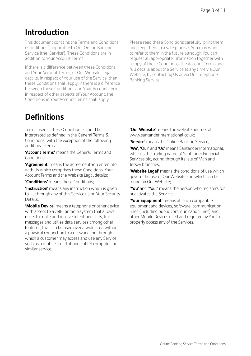# **Introduction**

This document contains the Terms and Conditions ('Conditions') applicable to Our Online Banking Service (the 'Service'). These Conditions are in addition to Your Account Terms.

If there is a difference between these Conditions and Your Account Terms, or Our Website Legal details, in respect of Your use of the Service, then these Conditions shall apply. If there is a difference between these Conditions and Your Account Terms in respect of other aspects of Your Account, the Conditions in Your Account Terms shall apply.

Please read these Conditions carefully, print them and keep them in a safe place as You may want to refer to them in the future although You can request all appropriate information together with a copy of these Conditions, the Account Terms and full details about the Service at any time via Our Website, by contacting Us or via Our Telephone Banking Service.

# **Definitions**

Terms used in these Conditions should be interpreted as defined in the General Terms & Conditions, with the exception of the following additional items:

**'Account Terms'** means the General Terms and Conditions;

**'Agreement'** means the agreement You enter into with Us which comprises these Conditions, Your Account Terms and the Website Legal details:

**'Conditions'** means these Conditions;

**'Instruction'** means any instruction which is given to Us through any of this Service using Your Security Details;

**'Mobile Device'** means a telephone or other device with access to a cellular radio system that allows users to make and receive telephone calls, text messages and utilise data services among other features, that can be used over a wide area without a physical connection to a network and through which a customer may access and use any Service such as a mobile smartphone, tablet computer, or similar service;

**'Our Website'** means the website address at www.santanderinternational.co.uk;

**'Service'** means the Online Banking Service;

**'We'**, 'Our' and 'Us' means Santander International, which is the trading name of Santander Financial Services plc, acting through its Isle of Man and Jersey branches;

**'Website Legal'** means the conditions of use which govern the use of Our Website and which can be found on Our Website;

**'You'** and 'Your' means the person who registers for or activates the Service;

**'Your Equipment'** means all such compatible equipment and devices, software, communication lines (including public communication lines) and other Mobile Devices used and required by You to properly access any of the Services.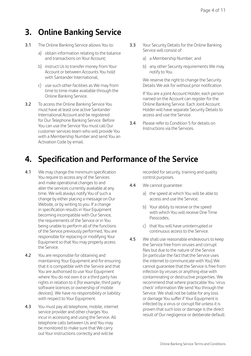# **3. Online Banking Service**

- 3.1 The Online Banking Service allows You to:
	- a) obtain information relating to the balance and transactions on Your Account;
	- b) instruct Us to transfer money from Your Account or between Accounts You hold with Santander International;
	- c) use such other facilities as We may from time to time make available through the Online Banking Service.
- 3.2 To access the Online Banking Service You must have at least one active Santander International Account and be registered for Our Telephone Banking Service. Before You can use the Service You must call Our customer services team who will provide You with a Membership Number and send You an Activation Code by email.
- 3.3 Your Security Details for the Online Banking Service will consist of:
	- a) a Membership Number; and
	- b) any other Security requirements We may notify to You.

 We reserve the right to change the Security Details We ask for without prior notification.

 If You are a joint Account Holder, each person named on the Account can register for the Online Banking Service. Each Joint Account Holder will have separate Security Details to access and use the Service.

3.4 Please refer to Condition 5 for details on Instructions via the Services.

# **4. Specification and Performance of the Service**

- 4.1 We may change the minimum specification You require to access any of the Services and make operational changes to and alter the services currently available at any time. We will always notify You of such a change by either placing a message on Our Website, or by writing to you. If a change in specification results in Your Equipment becoming incompatible with Our Service, the requirements of the Service or in You being unable to perform all of the functions of the Service previously performed, You are responsible for replacing or modifying Your Equipment so that You may properly access the Service.
- 4.2 You are responsible for obtaining and maintaining Your Equipment and for ensuring that it is compatible with the Service and that You are authorised to use Your Equipment where You do not own it or a third party has rights in relation to it (for example, third party software licences or ownership of mobile devices). We have no responsibility or liability with respect to Your Equipment.
- 4.3 You must pay all telephone, mobile, internet service provider and other charges You incur in accessing and using the Service. All telephone calls between Us and You may be monitored to make sure that We carry out Your instructions correctly and will be

recorded for security, training and quality control purposes.

- 4.4 We cannot guarantee:
	- a) the speed at which You will be able to access and use the Service;
	- b) Your ability to receive or the speed with which You will receive One Time Passcodes;
	- c) that You will have uninterrupted or continuous access to the Service.
- 4.5 We shall use reasonable endeavours to keep the Service free from viruses and corrupt files but due to the nature of the Service (in particular the fact that the Service uses the internet to communicate with You) We cannot guarantee that the Service is free from infection by viruses or anything else with contaminating or destructive properties. We recommend that where practicable You 'virus check' information We send You through the Service. We shall not be liable for any loss or damage You suffer if Your Equipment is infected by a virus or corrupt file unless it is proven that such loss or damage is the direct result of Our negligence or deliberate default.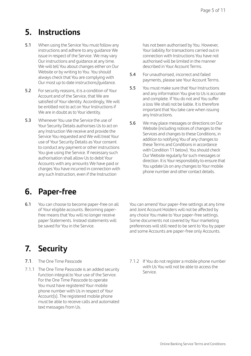# **5. Instructions**

- 5.1 When using the Service You must follow any instructions and adhere to any guidance We issue in respect of the Service. We may vary Our instructions and guidance at any time. We will tell You about changes either on Our Website or by writing to You. You should always check that You are complying with Our most up to date instructions/guidance.
- 5.2 For security reasons, it is a condition of Your Account and of the Service, that We are satisfied of Your identity. Accordingly, We will be entitled not to act on Your Instructions if We are in doubt as to Your identity.
- 5.3 Whenever You use the Service the use of Your Security Details authorises Us to act on any Instruction We receive and provide the Service You requested and We will treat Your use of Your Security Details as Your consent to conduct any payment or other instructions You give using the Service. If necessary such authorisation shall allow Us to debit Your Accounts with any amounts We have paid or charges You have incurred in connection with any such Instruction, even if the Instruction

#### **6. Paper-free**

6.1 You can choose to become paper-free on all of Your eligible accounts. Becoming paperfree means that You will no longer receive paper Statements. Instead statements will be saved for You in the Service.

**7. Security**

- 7.1. The One Time Passcode
- 7.1.1 The One Time Passcode is an added security function integral to Your use of the Service. For the One Time Passcode to operate You must have registered Your mobile phone number with Us in respect of Your Account(s). The registered mobile phone must be able to receive calls and automated text messages from Us.

has not been authorised by You. However, Your liability for transactions carried out in connection with Instructions You have not authorised will be limited in the manner described in Your Account Terms.

- 5.4 For unauthorised, incorrect and failed payments, please see Your Account Terms.
- 5.5 You must make sure that Your Instructions and any information You give to Us is accurate and complete. If You do not and You suffer a loss We shall not be liable. It is therefore important that You take care when issuing any Instructions.
- 5.6 We may place messages or directions on Our Website (including notices of changes to the Services and changes to these Conditions, in addition to notifying You of any changes to these Terms and Conditions in accordance with Condition 11 below). You should check Our Website regularly for such messages or direction. It is Your responsibility to ensure that You update Us on any changes to Your mobile phone number and other contact details.

You can amend Your paper-free settings at any time and Joint Account Holders will not be affected by any choice You make to Your paper-free settings. Some documents not covered by Your marketing preferences will still need to be sent to You by paper and some Accounts are paper-free only Accounts.

7.1.2 If You do not register a mobile phone number with Us You will not be able to access the Service.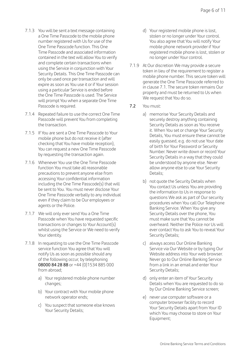- 7.1.3 You will be sent a text message containing a One Time Passcode to the mobile phone number registered with Us for use of the One Time Passcode function. This One Time Passcode and associated information contained in the text will allow You to verify and complete certain transactions when using the Service in conjunction with Your Security Details. This One Time Passcode can only be used once per transaction and will expire as soon as You use it or if Your session using a particular Service is ended before the One Time Passcode is used. The Service will prompt You when a separate One Time Passcode is required.
- 7.1.4 Repeated failure to use the correct One Time Passcode will prevent You from completing the transaction.
- 7.1.5 If You are sent a One Time Passcode to Your mobile phone but do not receive it (after checking that You have mobile reception), You can request a new One Time Passcode by requesting the transaction again.
- 7.1.6 Whenever You use the One Time Passcode function You must take all reasonable precautions to prevent anyone else from accessing Your confidential information including the One Time Passcode(s) that will be sent to You. You must never disclose Your One Time Passcode verbally to any individual even if they claim to be Our employees or agents or the Police.
- 7.1.7 We will only ever send You a One Time Passcode when You have requested specific transactions or changes to Your Account(s) whilst using the Service or We need to verify Your identity.
- 7.1.8 In requesting to use the One Time Passcode service function You agree that You will notify Us as soon as possible should any of the following occur, by telephoning 08000 84 28 88 or +44 (0)1534 885 000 from abroad;
	- a) Your registered mobile phone number changes;
	- b) Your contract with Your mobile phone network operator ends;
	- c) You suspect that someone else knows Your Security Details;
- d) Your registered mobile phone is lost, stolen or no longer under Your control. You also agree that You will notify Your mobile phone network provider if Your registered mobile phone is lost, stolen or no longer under Your control.
- 7.1.9 At Our discretion We may provide a secure token in lieu of the requirement to register a mobile phone number. This secure token will generate the One Time Passcode referred to in clause 7.1. The secure token remains Our property and must be returned to Us when We request that You do so.
- 7.2 You must:
	- a) memorise Your Security Details and securely destroy anything containing Security Details as soon as You receive it. When You set or change Your Security Details, You must ensure these cannot be easily guessed, e.g. do not use Your date of birth for Your Password or Security Number. Never write down or record Your Security Details in a way that they could be understood by anyone else. Never allow anyone else to use Your Security Details;
	- b) not quote the Security Details when You contact Us unless You are providing the information to Us in response to questions We ask as part of Our security procedures when You call Our Telephone Banking Service. When You give any Security Details over the phone, You must make sure that You cannot be overheard. Neither the Police nor Us will ever contact You to ask You to reveal Your Security Details;
	- c) always access Our Online Banking Service via Our Website or by typing Our Website address into Your web browser. Never go to Our Online Banking Service from a link in an email and enter Your Security Details;
	- d) only enter an item of Your Security Details when You are requested to do so by Our Online Banking Service screen;
	- e) never use computer software or a computer browser facility to record Your Security Details apart from Your ID which You may choose to store on Your Equipment;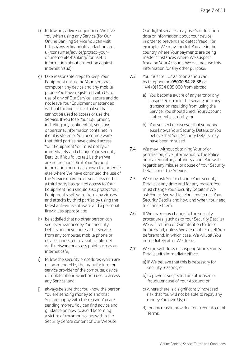- f) follow any advice or guidance We give You when using any Service (for Our Online Banking Service You can visit https://www.financialfraudaction.org. uk/consumer/advice/protect-youronlinemobile-banking/ for useful information about protection against internet fraud);
- g) take reasonable steps to keep Your Equipment (including Your personal computer, any device and any mobile phone You have registered with Us for use of any of Our Service) secure and do not leave Your Equipment unattended without locking access to it so that it cannot be used to access or use the Service. If You lose Your Equipment, including any confidential, sensitive or personal information contained in it or it is stolen or You become aware that third parties have gained access Your Equipment You must notify Us immediately and change Your Security Details. If You fail to tell Us then We are not responsible if Your Account information becomes known to someone else where We have continued the use of the Service unaware of such loss or that a third party has gained access to Your Equipment. You should also protect Your Equipment's software from any viruses and attacks by third parties by using the latest anti-virus software and a personal firewall as appropriate;
- h) be satisfied that no other person can see, overhear or copy Your Security Details and never access the Service from any computer, mobile phone or device connected to a public internet wi-fi network or access point such as an internet café;
- i) follow the security procedures which are recommended by the manufacturer or service provider of the computer, device or mobile phone which You use to access any Service; and
- j) always be sure that You know the person You are sending money to and that You are happy with the reason You are sending money. You can find advice and guidance on how to avoid becoming a victim of common scams within the Security Centre content of Our Website.

 Our digital services may use Your location data or information about Your device in order to prevent and detect fraud. For example, We may check if You are in the country where Your payments are being made in instances where We suspect fraud on Your Account. We will not use this information for any other purpose.

- 7.3 You must tell Us as soon as You can by telephoning 08000 84 28 88 or +44 (0)1534 885 000 from abroad
	- a) You become aware of any error or any suspected error in the Service or in any transaction resulting from using the Service. You should check Your Account statements carefully; or
	- b) You suspect or discover that someone else knows Your Security Details or You believe that Your Security Details may have been misused.
- 7.4 We may, without obtaining Your prior permission, give information to the Police or to a regulatory authority about You with regards any misuse or abuse of Your Security Details or of the Service.
- 7.5 We may ask You to change Your Security Details at any time and for any reason. You must change Your Security Details if We ask You to. We will tell You how to use Your Security Details and how and when You need to change them.
- 7.6 If We make any change to the security procedures (such as to Your Security Details) We will tell You of Our intention to do so beforehand, unless We are unable to tell You beforehand, in which case, We will tell You immediately after We do so.
- 7.7 We can withdraw or suspend Your Security Details with immediate effect:
	- a) if We believe that this is necessary for security reasons; or
	- b) to prevent suspected unauthorised or fraudulent use of Your Account; or
	- c) where there is a significantly increased risk that You will not be able to repay any money You owe Us; or
	- d) for any reason provided for in Your Account Terms.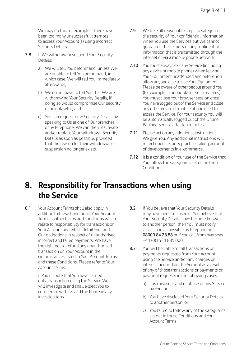We may do this for example if there have been too many unsuccessful attempts to access Your Account(s) using incorrect Security Details.

- 7.8 If We withdraw or suspend Your Security Details:
	- a) We will tell You beforehand, unless We are unable to tell You beforehand, in which case, We will tell You immediately afterwards;
	- b) We do not have to tell You that We are withdrawing Your Security Details, if doing so would compromise Our security or be unlawful; and
	- c) You can request new Security Details by speaking to Us at one of Our branches or by telephone. We can then reactivate and/or replace Your withdrawn Security Details as soon as possible, provided that the reason for their withdrawal or suspension no longer exists.
- 7.9 We take all reasonable steps to safeguard the security of Your confidential information when You use the Services but We cannot guarantee the security of any confidential information that is transmitted through the internet or via a mobile phone network.
- 7.10 You must always exit any Service (including any device or mobile phone) when leaving Your Equipment unattended and before You allow anyone else to use Your Equipment. Please be aware of other people around You (for example in public places such as cafés). You must close Your browser session once You have logged out of the Service and close any other device or mobile phone used to access the Service. For Your security You will be automatically logged out of the Online Banking Service after ten minutes.
- 7.11 Please act on any additional instructions We give You. Any additional instructions will reflect good security practice, taking account of developments in e-commerce.
- 7.12 It is a condition of Your use of the Service that You follow the safeguards set out in these Conditions.

# **8. Responsibility for Transactions when using the Service**

8.1 Your Account Terms shall also apply in addition to these Conditions. Your Account Terms contain terms and conditions which relate to responsibility for transactions on Your Account and which detail Your and Our obligations in respect of unauthorised, incorrect and failed payments. We have the right not to refund any unauthorised transaction on Your Account in the circumstances listed in Your Account Terms and these Conditions. Please refer to Your Account Terms.

> If You dispute that You have carried out a transaction using the Service We will investigate and shall expect You to co-operate with Us and the Police in any investigations.

- 8.2 If You believe that Your Security Details may have been misused or You believe that Your Security Details have become known to another person, then You must notify Us as soon as possible by telephoning 08000 84 28 88 or if You call from overseas +44 (0)1534 885 000.
- 8.3 You will be liable for all transactions or payments requested from Your Account using the Service and/or any charges or interest incurred on the Account as a result of any of those transactions or payments or payment requests in the following cases:
	- a) any misuse, fraud or abuse of any Service by You; or
	- b) You have disclosed Your Security Details to another person; or
	- c) You failed to follow any of the safeguards set out in these Conditions and Your Account Terms.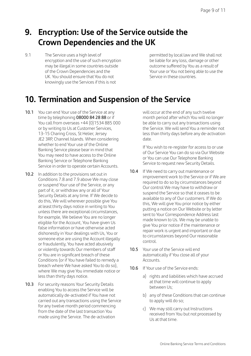# **9. Encryption: Use of the Service outside the Crown Dependencies and the UK**

9.1 The Service uses a high level of encryption and the use of such encryption may be illegal in some countries outside of the Crown Dependencies and the UK. You should ensure that You do not knowingly use the Services if this is not

permitted by local law and We shall not be liable for any loss, damage or other outcome suffered by You as a result of Your use or You not being able to use the Service in these countries.

#### **10. Termination and Suspension of the Service**

- 10.1 You can end Your use of the Service at any time by telephoning 08000 84 28 88 or if You call from overseas +44 (0)1534 885 000 or by writing to Us at Customer Services, 13-15 Charing Cross, St Helier, Jersey JE2 3RP, Channel Islands. When considering whether to end Your use of the Online Banking Service please bear in mind that You may need to have access to the Online Banking Service or Telephone Banking Service in order to operate certain Accounts.
- 10.2 In addition to the provisions set out in Conditions 7.8 and 7.9 above We may close or suspend Your use of the Service, or any part of it, or withdraw any or all of Your Security Details at any time. If We decide to do this, We will wherever possible give You at least thirty days notice in writing to You unless there are exceptional circumstances, for example, We believe You are no longer eligible for the Account, You have given Us false information or have otherwise acted dishonestly in Your dealings with Us, You or someone else are using the Account illegally or fraudulently, You have acted abusively or violently towards Our members of staff or You are in significant breach of these Conditions (or if You have failed to remedy a breach where We have asked You to do so), where We may give You immediate notice or less than thirty days notice.
- 10.3 For security reasons Your Security Details enabling You to access the Service will be automatically de-activated if You have not carried out any transactions using the Service for any twelve month period commencing from the date of the last transaction You made using the Service. The de-activation

will occur at the end of any such twelve month period after which You will no longer be able to carry out any transactions using the Service. We will send You a reminder not less than thirty days before any de-activation date.

 If You wish to re-register for access to or use of Our Service You can do so via Our Website or You can use Our Telephone Banking Service to request new Security Details.

- 10.4 If We need to carry out maintenance or improvement work to the Service or if We are required to do so by circumstances beyond Our control We may have to withdraw or suspend the Service so that it ceases to be available to any of Our customers. If We do this, We will give You prior notice by either putting a notice on Our Website or by letter sent to Your Correspondence Address last made known to Us. We may be unable to give You prior notice if the maintenance or repair work is urgent and important or due to circumstances beyond Our reasonable control.
- 10.5 Your use of the Service will end automatically if You close all of your Accounts.
- 10.6 If Your use of the Service ends:
	- a) rights and liabilities which have accrued at that time will continue to apply between Us;
	- b) any of these Conditions that can continue to apply will do so;
	- c) We may still carry out Instructions received from You but not processed by Us at that time.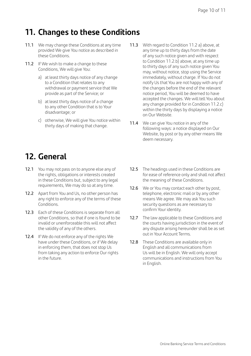# **11. Changes to these Conditions**

- 11.1 We may change these Conditions at any time provided We give You notice as described in these Conditions.
- 11.2 If We wish to make a change to these Conditions, We will give You:
	- a) at least thirty days notice of any change to a Condition that relates to any withdrawal or payment service that We provide as part of the Service; or
	- b) at least thirty days notice of a change to any other Condition that is to Your disadvantage; or
	- c) otherwise, We will give You notice within thirty days of making that change.
- 11.3 With regard to Condition 11.2 a) above, at any time up to thirty days from the date of any such notice given and with respect to Condition 11.2.b) above, at any time up to thirty days of any such notice given You may, without notice, stop using the Service immediately, without charge. If You do not notify Us that You are not happy with any of the changes before the end of the relevant notice period, You will be deemed to have accepted the changes. We will tell You about any change provided for in Condition 11.2.c) within the thirty days by displaying a notice on Our Website.
- 11.4 We can give You notice in any of the following ways: a notice displayed on Our Website, by post or by any other means We deem necessary.

# **12. General**

- 12.1 You may not pass on to anyone else any of the rights, obligations or interests created in these Conditions but, subject to any legal requirements, We may do so at any time.
- 12.2 Apart from You and Us, no other person has any right to enforce any of the terms of these Conditions.
- 12.3 Fach of these Conditions is separate from all other Conditions, so that if one is found to be invalid or unenforceable this will not affect the validity of any of the others.
- 12.4 If We do not enforce any of the rights We have under these Conditions, or if We delay in enforcing them, that does not stop Us from taking any action to enforce Our rights in the future.
- 12.5 The headings used in these Conditions are for ease of reference only and shall not affect the meaning of these Conditions.
- 12.6 We or You may contact each other by post, telephone, electronic mail or by any other means We agree. We may ask You such security questions as are necessary to confirm Your identity.
- 12.7 The law applicable to these Conditions and the courts having jurisdiction in the event of any dispute arising hereunder shall be as set out in Your Account Terms.
- 12.8 These Conditions are available only in English and all communications from Us will be in English. We will only accept communications and instructions from You in English.